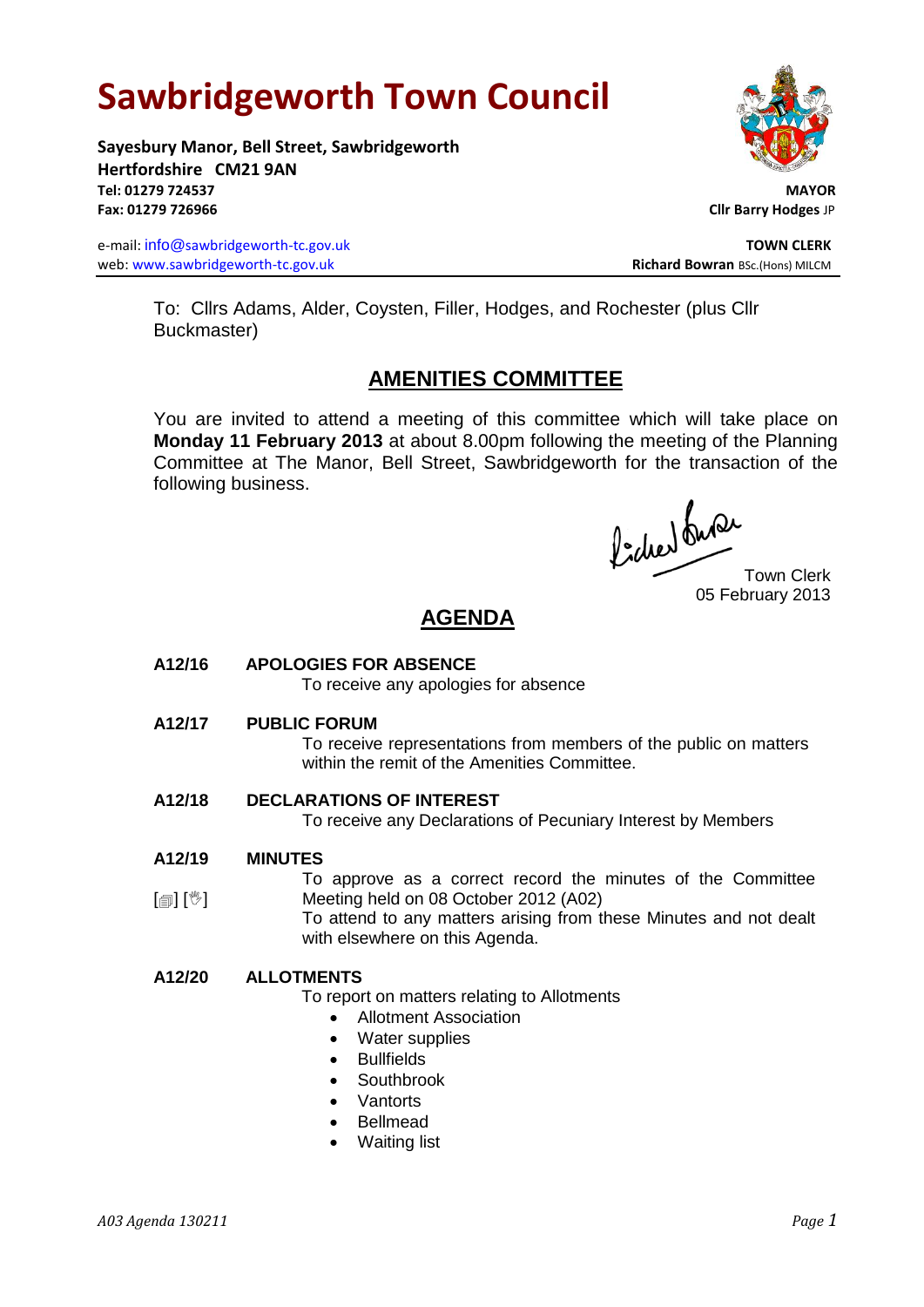# **Sawbridgeworth Town Council**

**Sayesbury Manor, Bell Street, Sawbridgeworth Hertfordshire CM21 9AN Tel: 01279 724537 MAYOR Fax: 01279 726966 Cllr Barry Hodges** JP

e-mail: info@sawbridgeworth-tc.gov.uk **TOWN CLERK TOWN CLERK** web: www.sawbridgeworth-tc.gov.uk<br> **Richard Bowran** BSc.(Hons) MILCM



To: Cllrs Adams, Alder, Coysten, Filler, Hodges, and Rochester (plus Cllr Buckmaster)

# **AMENITIES COMMITTEE**

You are invited to attend a meeting of this committee which will take place on **Monday 11 February 2013** at about 8.00pm following the meeting of the Planning Committee at The Manor, Bell Street, Sawbridgeworth for the transaction of the following business.

Procher du Procher<br>Town Clerk

05 February 2013

# **AGENDA**

## **A12/16 APOLOGIES FOR ABSENCE**

To receive any apologies for absence

**A12/17 PUBLIC FORUM**

To receive representations from members of the public on matters within the remit of the Amenities Committee.

## **A12/18 DECLARATIONS OF INTEREST**

To receive any Declarations of Pecuniary Interest by Members

#### **A12/19 MINUTES**

[創] [<sup>%</sup>] To approve as a correct record the minutes of the Committee Meeting held on 08 October 2012 (A02)

To attend to any matters arising from these Minutes and not dealt with elsewhere on this Agenda.

## **A12/20 ALLOTMENTS**

To report on matters relating to Allotments

- Allotment Association
- Water supplies
- Bullfields
- Southbrook
- Vantorts
- Bellmead
- Waiting list